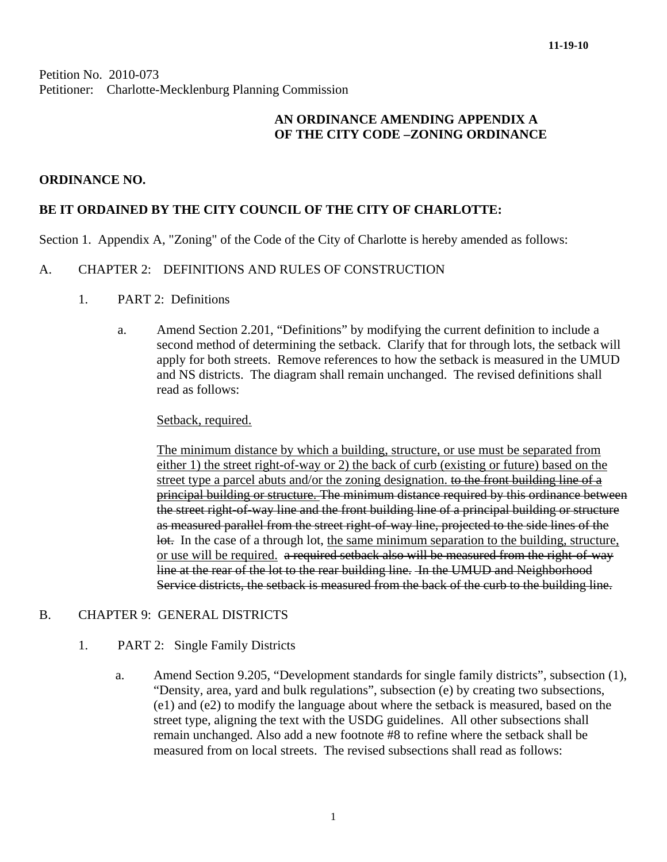Petition No. 2010-073 Petitioner: Charlotte-Mecklenburg Planning Commission

## **AN ORDINANCE AMENDING APPENDIX A OF THE CITY CODE –ZONING ORDINANCE**

## **ORDINANCE NO.**

## **BE IT ORDAINED BY THE CITY COUNCIL OF THE CITY OF CHARLOTTE:**

Section 1. Appendix A, "Zoning" of the Code of the City of Charlotte is hereby amended as follows:

### A. CHAPTER 2: DEFINITIONS AND RULES OF CONSTRUCTION

- 1. PART 2: Definitions
	- a. Amend Section 2.201, "Definitions" by modifying the current definition to include a second method of determining the setback. Clarify that for through lots, the setback will apply for both streets. Remove references to how the setback is measured in the UMUD and NS districts. The diagram shall remain unchanged. The revised definitions shall read as follows:

#### Setback, required.

The minimum distance by which a building, structure, or use must be separated from either 1) the street right-of-way or 2) the back of curb (existing or future) based on the street type a parcel abuts and/or the zoning designation. to the front building line of a principal building or structure. The minimum distance required by this ordinance between the street right-of-way line and the front building line of a principal building or structure as measured parallel from the street right-of-way line, projected to the side lines of the lot. In the case of a through lot, the same minimum separation to the building, structure, or use will be required. a required setback also will be measured from the right-of-way line at the rear of the lot to the rear building line. In the UMUD and Neighborhood Service districts, the setback is measured from the back of the curb to the building line.

## B. CHAPTER 9: GENERAL DISTRICTS

#### 1. PART 2: Single Family Districts

a. Amend Section 9.205, "Development standards for single family districts", subsection (1), "Density, area, yard and bulk regulations", subsection (e) by creating two subsections, (e1) and (e2) to modify the language about where the setback is measured, based on the street type, aligning the text with the USDG guidelines. All other subsections shall remain unchanged. Also add a new footnote #8 to refine where the setback shall be measured from on local streets. The revised subsections shall read as follows: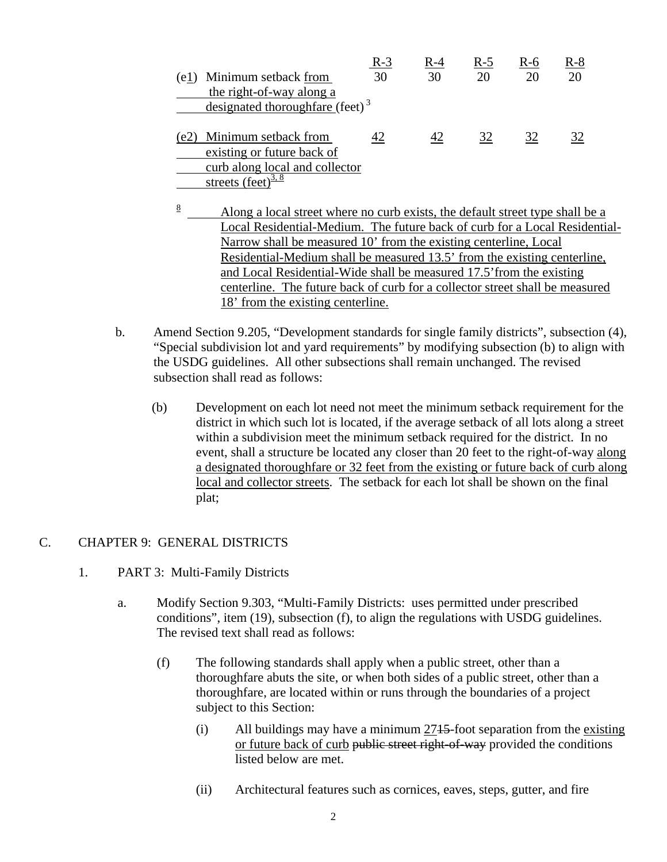|      |                                             | $R-3$ | R-4 | R-5 | R-6 | $R-8$ |
|------|---------------------------------------------|-------|-----|-----|-----|-------|
| (e1) | Minimum setback from                        | 30    | 30  | 20  | 20  | 20    |
|      | the right-of-way along a                    |       |     |     |     |       |
|      | designated thoroughfare (feet) <sup>3</sup> |       |     |     |     |       |
|      |                                             |       |     |     |     |       |
| (e2) | Minimum setback from                        |       | 42  | 32  | 32  |       |
|      | existing or future back of                  |       |     |     |     |       |
|      | curb along local and collector              |       |     |     |     |       |
|      | streets (feet) $\frac{3.8}{3.8}$            |       |     |     |     |       |

- 8 Along a local street where no curb exists, the default street type shall be a Local Residential-Medium. The future back of curb for a Local Residential-Narrow shall be measured 10' from the existing centerline, Local Residential-Medium shall be measured 13.5' from the existing centerline, and Local Residential-Wide shall be measured 17.5'from the existing centerline. The future back of curb for a collector street shall be measured 18' from the existing centerline.
- b. Amend Section 9.205, "Development standards for single family districts", subsection (4), "Special subdivision lot and yard requirements" by modifying subsection (b) to align with the USDG guidelines. All other subsections shall remain unchanged. The revised subsection shall read as follows:
	- (b) Development on each lot need not meet the minimum setback requirement for the district in which such lot is located, if the average setback of all lots along a street within a subdivision meet the minimum setback required for the district. In no event, shall a structure be located any closer than 20 feet to the right-of-way along a designated thoroughfare or 32 feet from the existing or future back of curb along local and collector streets. The setback for each lot shall be shown on the final plat;

## C. CHAPTER 9: GENERAL DISTRICTS

- 1. PART 3: Multi-Family Districts
	- a. Modify Section 9.303, "Multi-Family Districts: uses permitted under prescribed conditions", item (19), subsection (f), to align the regulations with USDG guidelines. The revised text shall read as follows:
		- (f) The following standards shall apply when a public street, other than a thoroughfare abuts the site, or when both sides of a public street, other than a thoroughfare, are located within or runs through the boundaries of a project subject to this Section:
			- (i) All buildings may have a minimum  $2715$ -foot separation from the existing or future back of curb public street right-of-way provided the conditions listed below are met.
			- (ii) Architectural features such as cornices, eaves, steps, gutter, and fire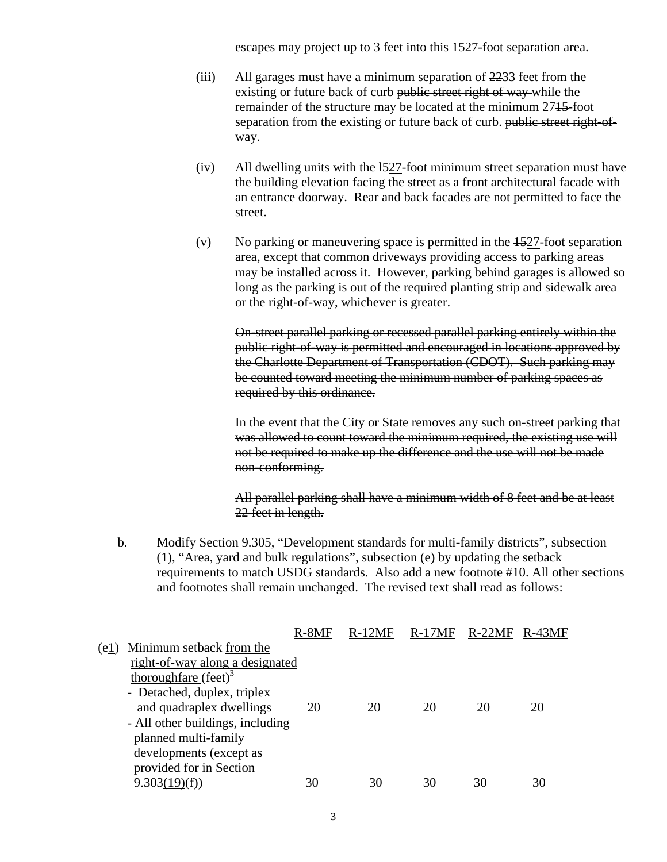escapes may project up to 3 feet into this 1527-foot separation area.

- (iii) All garages must have a minimum separation of 2233 feet from the existing or future back of curb public street right of way while the remainder of the structure may be located at the minimum 2715-foot separation from the existing or future back of curb. public street right-ofway.
- $(iv)$  All dwelling units with the  $\frac{1527}{100}$ -foot minimum street separation must have the building elevation facing the street as a front architectural facade wi th an entrance doorway. Rear and back facades are not permitted to face the street.
- (v) No parking or maneuvering space is permitted in the  $\frac{1527}{100}$ -foot separation area, except that common driveways providing access to parking areas may be installed across it. However, parking behind garages is allowed so long as the parking is out of the required planting strip and sidewalk area or the right-of-way, whichever is greater.

On-street parallel parking or recessed parallel parking entirely within the public right-of-way is permitted and encouraged in locations approved by the Charlotte Department of Transportation (CDOT). Such parking may be counted toward meeting the minimum number of parking spaces as required by this ordinance.

In the event that the City or State removes any such on-street parking that was allowed to count toward the minimum required, the existing use will not be required to make up the difference and the use will not be made non-conforming.

All parallel parking shall have a minimum width of 8 feet and be at least 22 feet in length.

b. Modify Section 9.305, "Development standards for multi-family districts", subsection (1), "Area, yard and bulk regulations", subsection (e) by updating the setback requirements to match USDG standards. Also add a new footnote #10. All other sections and footnotes shall remain unchanged. The revised text shall read as follows:

|      |                                  | $R-8MF$ | $R-12MF$ | $R-17MF$ | $R-22MF$ | $R-43MF$ |
|------|----------------------------------|---------|----------|----------|----------|----------|
| (e1) | Minimum setback from the         |         |          |          |          |          |
|      | right-of-way along a designated  |         |          |          |          |          |
|      | thoroughfare $(\text{feet})^3$   |         |          |          |          |          |
|      | - Detached, duplex, triplex      |         |          |          |          |          |
|      | and quadraplex dwellings         | 20      | 20       | 20       | 20       | 20       |
|      | - All other buildings, including |         |          |          |          |          |
|      | planned multi-family             |         |          |          |          |          |
|      | developments (except as          |         |          |          |          |          |
|      | provided for in Section          |         |          |          |          |          |
|      | 9.303(19)(f)                     | 30      | 30       | 30       | 30       | 30       |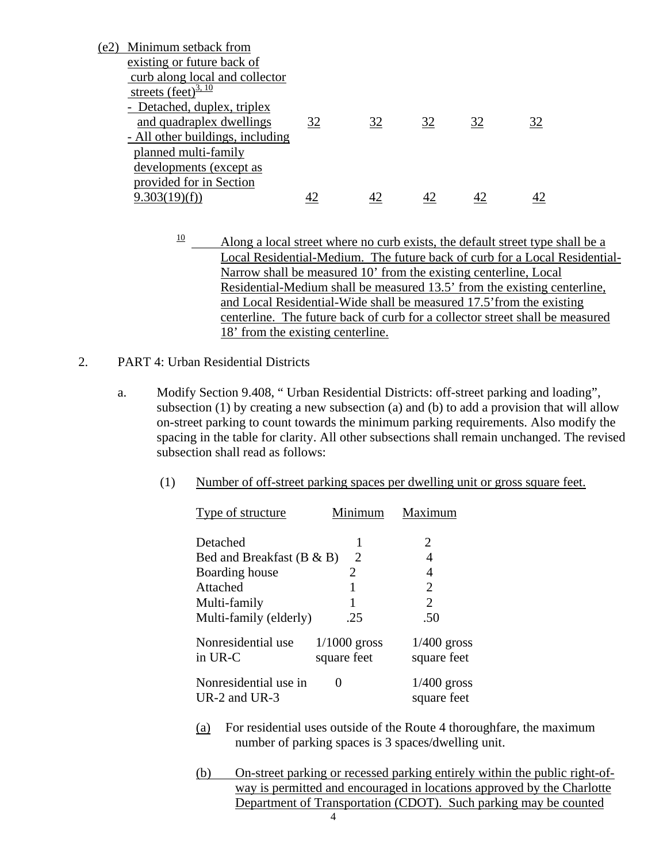| (e2) | Minimum setback from             |    |    |    |    |    |
|------|----------------------------------|----|----|----|----|----|
|      | existing or future back of       |    |    |    |    |    |
|      | curb along local and collector   |    |    |    |    |    |
|      | streets (feet) $\frac{3,10}{1}$  |    |    |    |    |    |
|      | - Detached, duplex, triplex      |    |    |    |    |    |
|      | and quadraplex dwellings         | 32 | 32 | 32 | 32 | 32 |
|      | - All other buildings, including |    |    |    |    |    |
|      | planned multi-family             |    |    |    |    |    |
|      | developments (except as          |    |    |    |    |    |
|      | provided for in Section          |    |    |    |    |    |
|      | 9.303(19)(f)                     |    |    |    |    |    |

- $\frac{10}{10}$  Along a local street where no curb exists, the default street type shall be a Local Residential-Medium. The future back of curb for a Local Residential-Narrow shall be measured 10' from the existing centerline, Local Residential-Medium shall be measured 13.5' from the existing centerline, and Local Residential-Wide shall be measured 17.5'from the existing centerline. The future back of curb for a collector street shall be measured 18' from the existing centerline.
- 2. PART 4: Urban Residential Districts
	- a. Modify Section 9.408, " Urban Residential Districts: off-street parking and loading", subsection (1) by creating a new subsection (a) and (b) to add a provision that will allow on-street parking to count towards the minimum parking requirements. Also modify the spacing in the table for clarity. All other subsections shall remain unchanged. The revised subsection shall read as follows:
		- (1) Number of off-street parking spaces per dwelling unit or gross square feet.

| Type of structure                      | Minimum                       | Maximum                      |
|----------------------------------------|-------------------------------|------------------------------|
| Detached                               |                               | 2                            |
| Bed and Breakfast $(B & B)$            | 2                             | 4                            |
| Boarding house                         | 2                             | 4                            |
| Attached                               |                               | $\overline{2}$               |
| Multi-family                           |                               | $\overline{2}$               |
| Multi-family (elderly)                 | .25                           | .50                          |
| Nonresidential use<br>in UR-C          | $1/1000$ gross<br>square feet | $1/400$ gross<br>square feet |
| Nonresidential use in<br>UR-2 and UR-3 | $\theta$                      | $1/400$ gross<br>square feet |

- (a) For residential uses outside of the Route 4 thoroughfare, the maximum number of parking spaces is 3 spaces/dwelling unit.
- (b) On-street parking or recessed parking entirely within the public right-ofway is permitted and encouraged in locations approved by the Charlotte Department of Transportation (CDOT). Such parking may be counted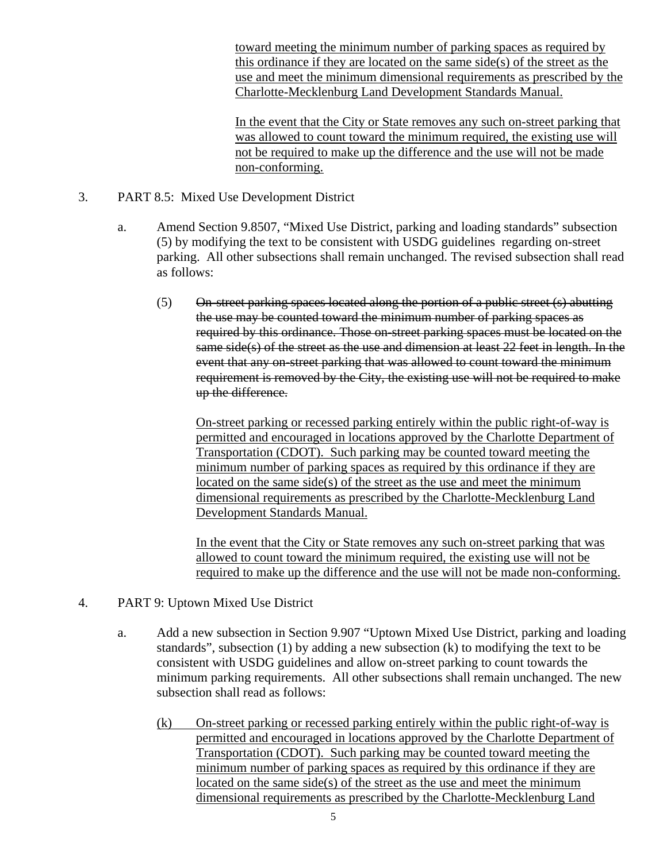toward meeting the minimum number of parking spaces as required by this ordinance if they are located on the same side(s) of the street as the use and meet the minimum dimensional requirements as prescribed by the Charlotte-Mecklenburg Land Development Standards Manual.

In the event that the City or State removes any such on-street parking that was allowed to count toward the minimum required, the existing use will not be required to make up the difference and the use will not be made non-conforming.

- 3. PART 8.5: Mixed Use Development District
	- a. Amend Section 9.8507, "Mixed Use District, parking and loading standards" subsection (5) by modifying the text to be consistent with USDG guidelines regarding on-street parking. All other subsections shall remain unchanged. The revised subsection shall read as follows:
		- (5) On-street parking spaces located along the portion of a public street (s) abutting the use may be counted toward the minimum number of parking spaces as required by this ordinance. Those on-street parking spaces must be located on the same side(s) of the street as the use and dimension at least 22 feet in length. In the event that any on-street parking that was allowed to count toward the minimum requirement is removed by the City, the existing use will not be required to make up the difference.

On-street parking or recessed parking entirely within the public right-of-way is permitted and encouraged in locations approved by the Charlotte Department of Transportation (CDOT). Such parking may be counted toward meeting the minimum number of parking spaces as required by this ordinance if they are located on the same side(s) of the street as the use and meet the minimum dimensional requirements as prescribed by the Charlotte-Mecklenburg Land Development Standards Manual.

In the event that the City or State removes any such on-street parking that was allowed to count toward the minimum required, the existing use will not be required to make up the difference and the use will not be made non-conforming.

- 4. PART 9: Uptown Mixed Use District
	- a. Add a new subsection in Section 9.907 "Uptown Mixed Use District, parking and loading standards", subsection (1) by adding a new subsection (k) to modifying the text to be consistent with USDG guidelines and allow on-street parking to count towards the minimum parking requirements. All other subsections shall remain unchanged. The new subsection shall read as follows:
		- (k) On-street parking or recessed parking entirely within the public right-of-way is permitted and encouraged in locations approved by the Charlotte Department of Transportation (CDOT). Such parking may be counted toward meeting the minimum number of parking spaces as required by this ordinance if they are located on the same side(s) of the street as the use and meet the minimum dimensional requirements as prescribed by the Charlotte-Mecklenburg Land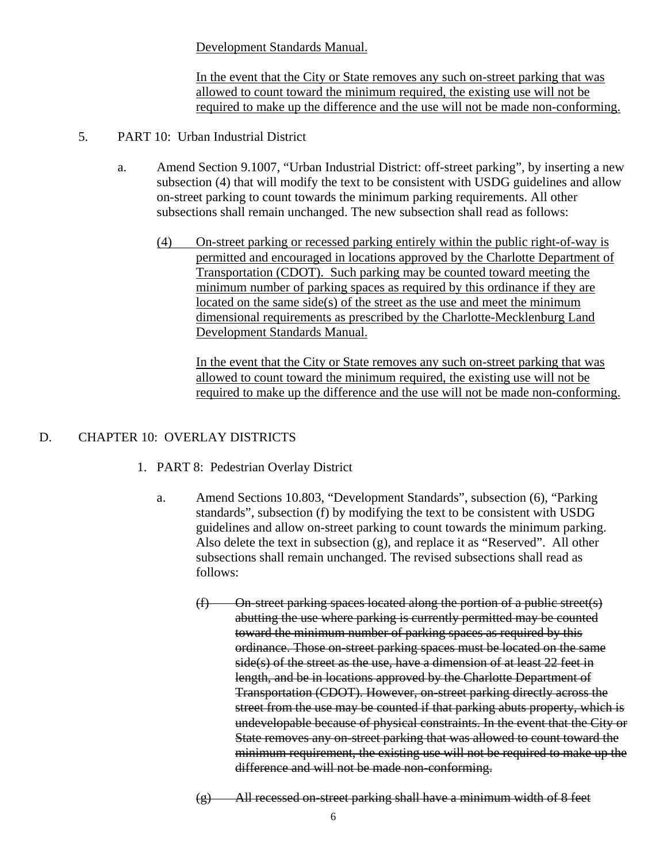Development Standards Manual.

In the event that the City or State removes any such on-street parking that was allowed to count toward the minimum required, the existing use will not be required to make up the difference and the use will not be made non-conforming.

- 5. PART 10: Urban Industrial District
	- a. Amend Section 9.1007, "Urban Industrial District: off-street parking", by inserting a new subsection (4) that will modify the text to be consistent with USDG guidelines and allow on-street parking to count towards the minimum parking requirements. All other subsections shall remain unchanged. The new subsection shall read as follows:
		- (4) On-street parking or recessed parking entirely within the public right-of-way is permitted and encouraged in locations approved by the Charlotte Department of Transportation (CDOT). Such parking may be counted toward meeting the minimum number of parking spaces as required by this ordinance if they are located on the same side(s) of the street as the use and meet the minimum dimensional requirements as prescribed by the Charlotte-Mecklenburg Land Development Standards Manual.

In the event that the City or State removes any such on-street parking that was allowed to count toward the minimum required, the existing use will not be required to make up the difference and the use will not be made non-conforming.

## D. CHAPTER 10: OVERLAY DISTRICTS

- 1. PART 8: Pedestrian Overlay District
	- a. Amend Sections 10.803, "Development Standards", subsection (6), "Parking standards", subsection (f) by modifying the text to be consistent with USDG guidelines and allow on-street parking to count towards the minimum parking. Also delete the text in subsection (g), and replace it as "Reserved". All other subsections shall remain unchanged. The revised subsections shall read as follows:
		- (f) On-street parking spaces located along the portion of a public street(s) abutting the use where parking is currently permitted may be counted toward the minimum number of parking spaces as required by this ordinance. Those on-street parking spaces must be located on the same side(s) of the street as the use, have a dimension of at least 22 feet in length, and be in locations approved by the Charlotte Department of Transportation (CDOT). However, on-street parking directly across the street from the use may be counted if that parking abuts property, which is undevelopable because of physical constraints. In the event that the City or State removes any on-street parking that was allowed to count toward the minimum requirement, the existing use will not be required to make up the difference and will not be made non-conforming.

 $(g)$  All recessed on-street parking shall have a minimum width of 8 feet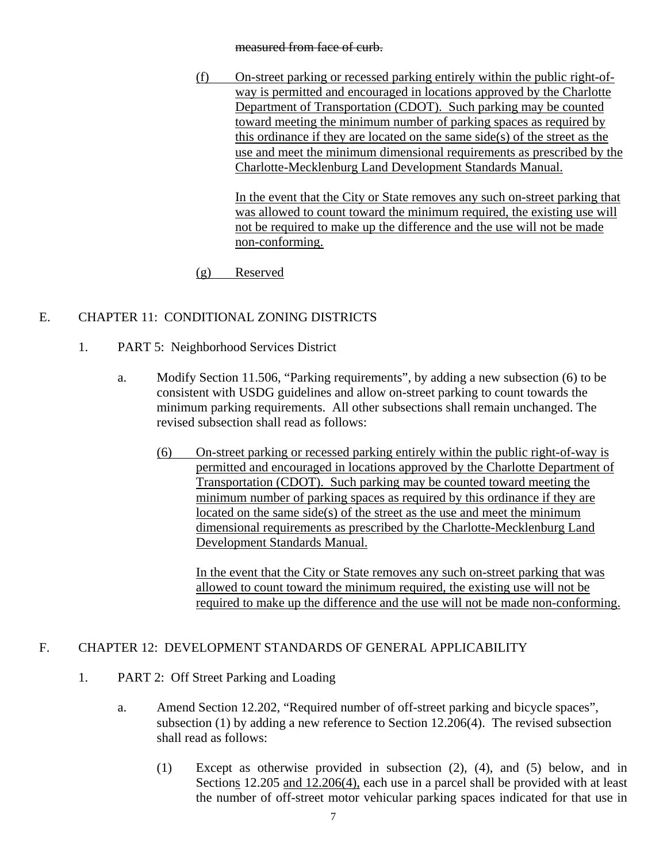#### measured from face of curb.

(f) On-street parking or recessed parking entirely within the public right-ofway is permitted and encouraged in locations approved by the Charlotte Department of Transportation (CDOT). Such parking may be counted toward meeting the minimum number of parking spaces as required by this ordinance if they are located on the same side(s) of the street as the use and meet the minimum dimensional requirements as prescribed by the Charlotte-Mecklenburg Land Development Standards Manual.

In the event that the City or State removes any such on-street parking that was allowed to count toward the minimum required, the existing use will not be required to make up the difference and the use will not be made non-conforming.

(g) Reserved

# E. CHAPTER 11: CONDITIONAL ZONING DISTRICTS

- 1. PART 5: Neighborhood Services District
	- a. Modify Section 11.506, "Parking requirements", by adding a new subsection (6) to be consistent with USDG guidelines and allow on-street parking to count towards the minimum parking requirements. All other subsections shall remain unchanged. The revised subsection shall read as follows:
		- (6) On-street parking or recessed parking entirely within the public right-of-way is permitted and encouraged in locations approved by the Charlotte Department of Transportation (CDOT). Such parking may be counted toward meeting the minimum number of parking spaces as required by this ordinance if they are located on the same side(s) of the street as the use and meet the minimum dimensional requirements as prescribed by the Charlotte-Mecklenburg Land Development Standards Manual.

In the event that the City or State removes any such on-street parking that was allowed to count toward the minimum required, the existing use will not be required to make up the difference and the use will not be made non-conforming.

# F. CHAPTER 12: DEVELOPMENT STANDARDS OF GENERAL APPLICABILITY

- 1. PART 2: Off Street Parking and Loading
	- a. Amend Section 12.202, "Required number of off-street parking and bicycle spaces", subsection (1) by adding a new reference to Section 12.206(4). The revised subsection shall read as follows:
		- (1) Except as otherwise provided in subsection (2), (4), and (5) below, and in Sections 12.205 and 12.206(4), each use in a parcel shall be provided with at least the number of off-street motor vehicular parking spaces indicated for that use in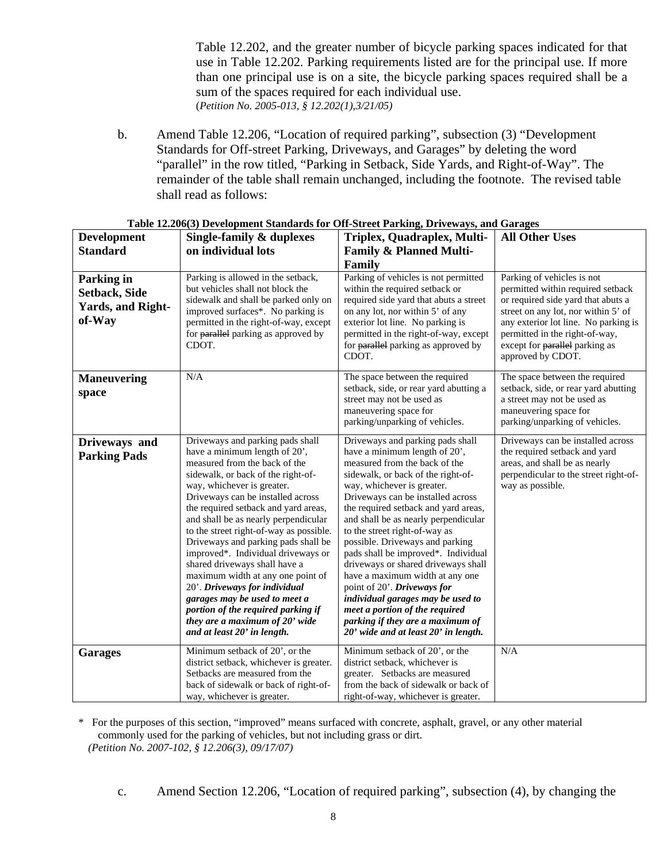Table 12.202, and the greater number of bicycle parking spaces indicated for that use in Table 12.202*.* Parking requirements listed are for the principal use*.* If more than one principal use is on a site, the bicycle parking spaces required shall be a sum of the spaces required for each individual use. (*Petition No. 2005-013, § 12.202(1),3/21/05)* 

b. Amend Table 12.206, "Location of required parking", subsection (3) "Development Standards for Off-street Parking, Driveways, and Garages" by deleting the word "parallel" in the row titled, "Parking in Setback, Side Yards, and Right-of-Way". The remainder of the table shall remain unchanged, including the footnote. The revised table shall read as follows:

| <b>Development</b>                                                       | Single-family & duplexes                                                                                                                                                                                                                                                                                                                                                                                                                                                                                                                                                                                                                                           | Triplex, Quadraplex, Multi-                                                                                                                                                                                                                                                                                                                                                                                                                                                                                                                                                                                                                                        | <b>All Other Uses</b>                                                                                                                                                                                                                                                         |
|--------------------------------------------------------------------------|--------------------------------------------------------------------------------------------------------------------------------------------------------------------------------------------------------------------------------------------------------------------------------------------------------------------------------------------------------------------------------------------------------------------------------------------------------------------------------------------------------------------------------------------------------------------------------------------------------------------------------------------------------------------|--------------------------------------------------------------------------------------------------------------------------------------------------------------------------------------------------------------------------------------------------------------------------------------------------------------------------------------------------------------------------------------------------------------------------------------------------------------------------------------------------------------------------------------------------------------------------------------------------------------------------------------------------------------------|-------------------------------------------------------------------------------------------------------------------------------------------------------------------------------------------------------------------------------------------------------------------------------|
| <b>Standard</b>                                                          | on individual lots                                                                                                                                                                                                                                                                                                                                                                                                                                                                                                                                                                                                                                                 | <b>Family &amp; Planned Multi-</b>                                                                                                                                                                                                                                                                                                                                                                                                                                                                                                                                                                                                                                 |                                                                                                                                                                                                                                                                               |
|                                                                          |                                                                                                                                                                                                                                                                                                                                                                                                                                                                                                                                                                                                                                                                    | Family                                                                                                                                                                                                                                                                                                                                                                                                                                                                                                                                                                                                                                                             |                                                                                                                                                                                                                                                                               |
| Parking in<br><b>Setback, Side</b><br><b>Yards, and Right-</b><br>of-Way | Parking is allowed in the setback,<br>but vehicles shall not block the<br>sidewalk and shall be parked only on<br>improved surfaces*. No parking is<br>permitted in the right-of-way, except<br>for parallel parking as approved by<br>CDOT.                                                                                                                                                                                                                                                                                                                                                                                                                       | Parking of vehicles is not permitted<br>within the required setback or<br>required side yard that abuts a street<br>on any lot, nor within 5' of any<br>exterior lot line. No parking is<br>permitted in the right-of-way, except<br>for parallel parking as approved by<br>CDOT.                                                                                                                                                                                                                                                                                                                                                                                  | Parking of vehicles is not<br>permitted within required setback<br>or required side yard that abuts a<br>street on any lot, nor within 5' of<br>any exterior lot line. No parking is<br>permitted in the right-of-way,<br>except for parallel parking as<br>approved by CDOT. |
| <b>Maneuvering</b><br>space                                              | N/A                                                                                                                                                                                                                                                                                                                                                                                                                                                                                                                                                                                                                                                                | The space between the required<br>setback, side, or rear yard abutting a<br>street may not be used as<br>maneuvering space for<br>parking/unparking of vehicles.                                                                                                                                                                                                                                                                                                                                                                                                                                                                                                   | The space between the required<br>setback, side, or rear yard abutting<br>a street may not be used as<br>maneuvering space for<br>parking/unparking of vehicles.                                                                                                              |
| Driveways and<br><b>Parking Pads</b>                                     | Driveways and parking pads shall<br>have a minimum length of 20',<br>measured from the back of the<br>sidewalk, or back of the right-of-<br>way, whichever is greater.<br>Driveways can be installed across<br>the required setback and yard areas,<br>and shall be as nearly perpendicular<br>to the street right-of-way as possible.<br>Driveways and parking pads shall be<br>improved*. Individual driveways or<br>shared driveways shall have a<br>maximum width at any one point of<br>20'. Driveways for individual<br>garages may be used to meet a<br>portion of the required parking if<br>they are a maximum of 20' wide<br>and at least 20' in length. | Driveways and parking pads shall<br>have a minimum length of 20',<br>measured from the back of the<br>sidewalk, or back of the right-of-<br>way, whichever is greater.<br>Driveways can be installed across<br>the required setback and yard areas,<br>and shall be as nearly perpendicular<br>to the street right-of-way as<br>possible. Driveways and parking<br>pads shall be improved*. Individual<br>driveways or shared driveways shall<br>have a maximum width at any one<br>point of 20'. Driveways for<br>individual garages may be used to<br>meet a portion of the required<br>parking if they are a maximum of<br>20' wide and at least 20' in length. | Driveways can be installed across<br>the required setback and yard<br>areas, and shall be as nearly<br>perpendicular to the street right-of-<br>way as possible.                                                                                                              |
| <b>Garages</b>                                                           | Minimum setback of 20', or the<br>district setback, whichever is greater.<br>Setbacks are measured from the<br>back of sidewalk or back of right-of-<br>way, whichever is greater.                                                                                                                                                                                                                                                                                                                                                                                                                                                                                 | Minimum setback of 20', or the<br>district setback, whichever is<br>greater. Setbacks are measured<br>from the back of sidewalk or back of<br>right-of-way, whichever is greater.                                                                                                                                                                                                                                                                                                                                                                                                                                                                                  | N/A                                                                                                                                                                                                                                                                           |

| Table 12.206(3) Development Standards for Off-Street Parking, Driveways, and Garages |  |  |
|--------------------------------------------------------------------------------------|--|--|

\* For the purposes of this section, "improved" means surfaced with concrete, asphalt, gravel, or any other material commonly used for the parking of vehicles, but not including grass or dirt. *(Petition No. 2007-102, § 12.206(3), 09/17/07)* 

c. Amend Section 12.206, "Location of required parking", subsection (4), by changing the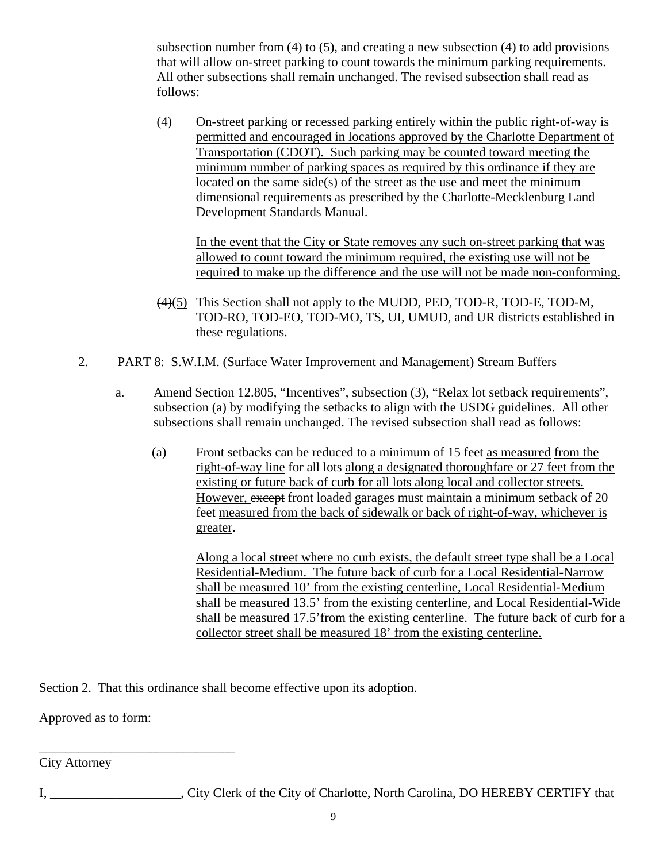subsection number from  $(4)$  to  $(5)$ , and creating a new subsection  $(4)$  to add provisions that will allow on-street parking to count towards the minimum parking requirements. All other subsections shall remain unchanged. The revised subsection shall read as follows:

(4) On-street parking or recessed parking entirely within the public right-of-way is permitted and encouraged in locations approved by the Charlotte Department of Transportation (CDOT). Such parking may be counted toward meeting the minimum number of parking spaces as required by this ordinance if they are located on the same side(s) of the street as the use and meet the minimum dimensional requirements as prescribed by the Charlotte-Mecklenburg Land Development Standards Manual.

In the event that the City or State removes any such on-street parking that was allowed to count toward the minimum required, the existing use will not be required to make up the difference and the use will not be made non-conforming.

- (4)(5) This Section shall not apply to the MUDD, PED, TOD-R, TOD-E, TOD-M, TOD-RO, TOD-EO, TOD-MO, TS, UI, UMUD, and UR districts established in these regulations.
- 2. PART 8: S.W.I.M. (Surface Water Improvement and Management) Stream Buffers
	- a. Amend Section 12.805, "Incentives", subsection (3), "Relax lot setback requirements", subsection (a) by modifying the setbacks to align with the USDG guidelines. All other subsections shall remain unchanged. The revised subsection shall read as follows:
		- (a) Front setbacks can be reduced to a minimum of 15 feet as measured from the right-of-way line for all lots along a designated thoroughfare or 27 feet from the existing or future back of curb for all lots along local and collector streets. However, except front loaded garages must maintain a minimum setback of 20 feet measured from the back of sidewalk or back of right-of-way, whichever is greater.

Along a local street where no curb exists, the default street type shall be a Local Residential-Medium. The future back of curb for a Local Residential-Narrow shall be measured 10' from the existing centerline, Local Residential-Medium shall be measured 13.5' from the existing centerline, and Local Residential-Wide shall be measured 17.5'from the existing centerline. The future back of curb for a collector street shall be measured 18' from the existing centerline.

Section 2. That this ordinance shall become effective upon its adoption.

Approved as to form:

\_\_\_\_\_\_\_\_\_\_\_\_\_\_\_\_\_\_\_\_\_\_\_\_\_\_\_\_\_\_

City Attorney

I, \_\_\_\_\_\_\_\_\_\_\_\_\_\_\_\_\_\_\_\_, City Clerk of the City of Charlotte, North Carolina, DO HEREBY CERTIFY that